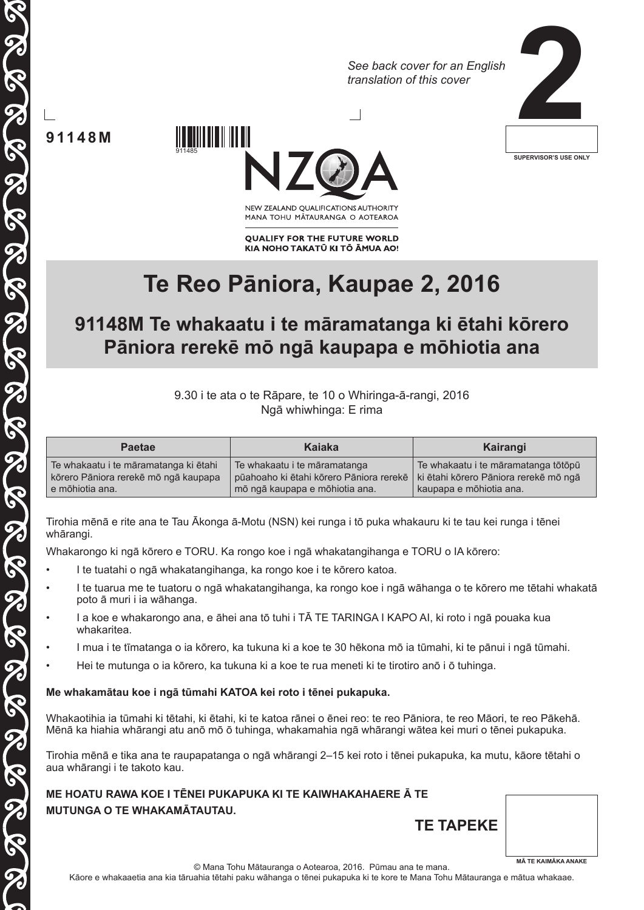*See back cover for an English translation of this cover*



**91148M**

 $\sqrt{3}$ 

911485



NEW ZEALAND OUALIFICATIONS AUTHORITY MANA TOHU MATAURANGA O AOTEAROA

**QUALIFY FOR THE FUTURE WORLD** KIA NOHO TAKATŪ KI TŌ ĀMUA AO!

# **Te Reo Pāniora, Kaupae 2, 2016**

## **91148M Te whakaatu i te māramatanga ki ētahi kōrero Pāniora rerekē mō ngā kaupapa e mōhiotia ana**

9.30 i te ata o te Rāpare, te 10 o Whiringa-ā-rangi, 2016 Ngā whiwhinga: E rima

| <b>Paetae</b>                         | Kaiaka                                  | Kairangi                              |
|---------------------------------------|-----------------------------------------|---------------------------------------|
| Te whakaatu i te māramatanga ki ētahi | Te whakaatu i te māramatanga            | Te whakaatu i te māramatanga tōtōpū   |
| kōrero Pāniora rerekē mō ngā kaupapa  | pūahoaho ki ētahi kōrero Pāniora rerekē | ki ētahi kōrero Pāniora rerekē mō ngā |
| e mōhiotia ana.                       | mō ngā kaupapa e mōhiotia ana.          | kaupapa e mõhiotia ana.               |

Tirohia mēnā e rite ana te Tau Ākonga ā-Motu (NSN) kei runga i tō puka whakauru ki te tau kei runga i tēnei whārangi.

Whakarongo ki ngā kōrero e TORU. Ka rongo koe i ngā whakatangihanga e TORU o IA kōrero:

- I te tuatahi o ngā whakatangihanga, ka rongo koe i te kōrero katoa.
- I te tuarua me te tuatoru o ngā whakatangihanga, ka rongo koe i ngā wāhanga o te kōrero me tētahi whakatā poto ā muri i ia wāhanga.
- I a koe e whakarongo ana, e āhei ana tō tuhi i TĀ TE TARINGA I KAPO AI, ki roto i ngā pouaka kua whakaritea.
	- I mua i te tīmatanga o ia kōrero, ka tukuna ki a koe te 30 hēkona mō ia tūmahi, ki te pānui i ngā tūmahi.
- Hei te mutunga o ia kōrero, ka tukuna ki a koe te rua meneti ki te tirotiro anō i ō tuhinga.

#### **Me whakamātau koe i ngā tūmahi KATOA kei roto i tēnei pukapuka.**

Whakaotihia ia tūmahi ki tētahi, ki ētahi, ki te katoa rānei o ēnei reo: te reo Pāniora, te reo Māori, te reo Pākehā. Mēnā ka hiahia whārangi atu anō mō ō tuhinga, whakamahia ngā whārangi wātea kei muri o tēnei pukapuka.

Tirohia mēnā e tika ana te raupapatanga o ngā whārangi 2–15 kei roto i tēnei pukapuka, ka mutu, kāore tētahi o aua whārangi i te takoto kau.

**ME HOATU RAWA KOE I TĒNEI PUKAPUKA KI TE KAIWHAKAHAERE Ā TE MUTUNGA O TE WHAKAMĀTAUTAU.**

| A TE.            |                            |
|------------------|----------------------------|
| <b>TE TAPEKE</b> |                            |
| ٠                | <b>MÄ TE KAIMÄKA ANAKE</b> |

Kāore e whakaaetia ana kia tāruahia tētahi paku wāhanga o tēnei pukapuka ki te kore te Mana Tohu Mātauranga e mātua whakaae.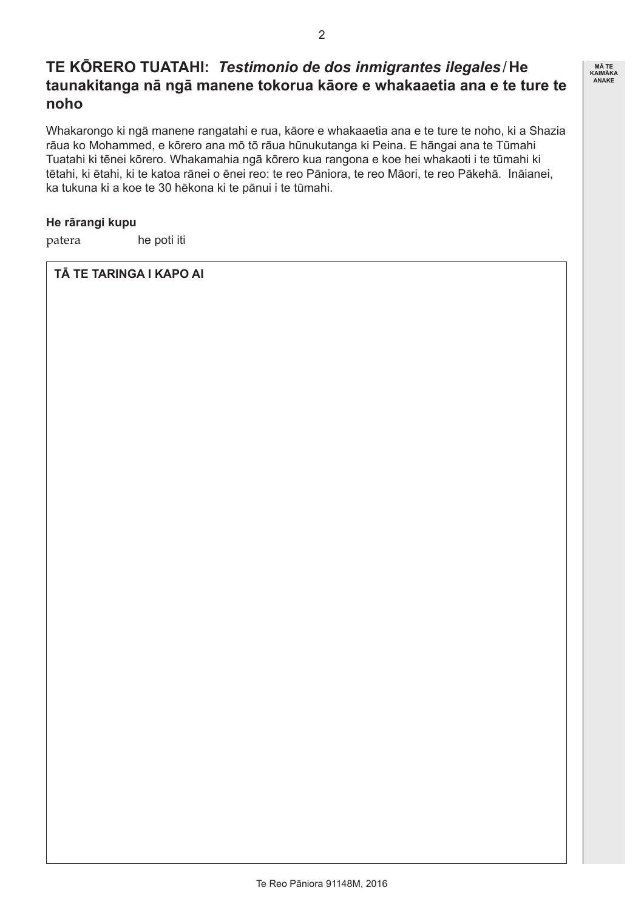### **TE KŌRERO TUATAHI:** *Testimonio de dos inmigrantes ilegales*/**He taunakitanga nā ngā manene tokorua kāore e whakaaetia ana e te ture te noho**

Whakarongo ki ngā manene rangatahi e rua, kāore e whakaaetia ana e te ture te noho, ki a Shazia rāua ko Mohammed, e kōrero ana mō tō rāua hūnukutanga ki Peina. E hāngai ana te Tūmahi Tuatahi ki tēnei kōrero. Whakamahia ngā kōrero kua rangona e koe hei whakaoti i te tūmahi ki tētahi, ki ētahi, ki te katoa rānei o ēnei reo: te reo Pāniora, te reo Māori, te reo Pākehā. Ināianei, ka tukuna ki a koe te 30 hēkona ki te pānui i te tūmahi.

#### **He rārangi kupu**

patera he poti iti

#### **TĀ TE TARINGA I KAPO AI**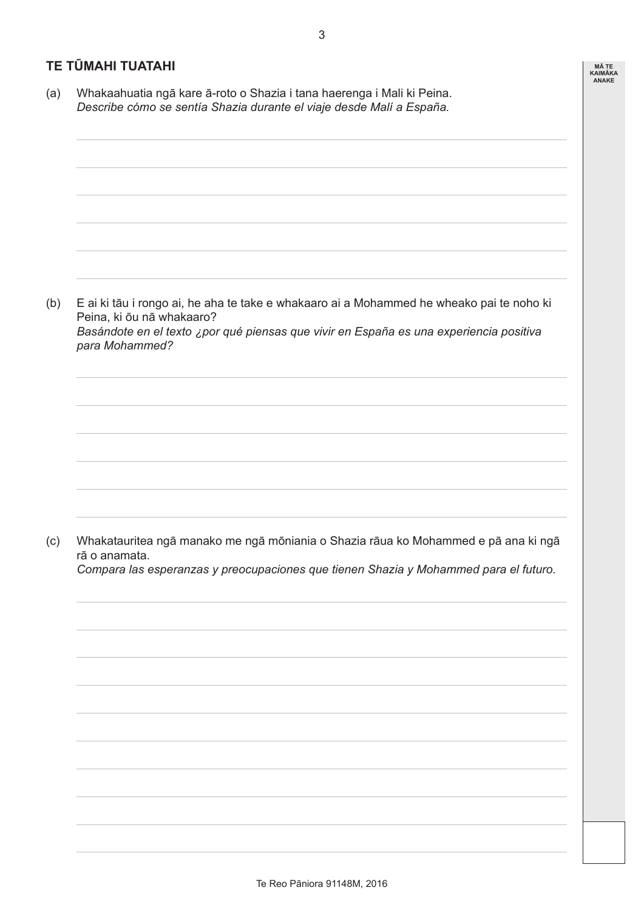### **TE TŪMAHI TUATAHI**

(a) Whakaahuatia ngā kare ā-roto o Shazia i tana haerenga i Mali ki Peina. *Describe cómo se sentía Shazia durante el viaje desde Malí a España.*

(b) E ai ki tāu i rongo ai, he aha te take e whakaaro ai a Mohammed he wheako pai te noho ki Peina, ki ōu nā whakaaro? *Basándote en el texto ¿por qué piensas que vivir en España es una experiencia positiva para Mohammed?*

(c) Whakatauritea ngā manako me ngā mōniania o Shazia rāua ko Mohammed e pā ana ki ngā rā o anamata.

*Compara las esperanzas y preocupaciones que tienen Shazia y Mohammed para el futuro.*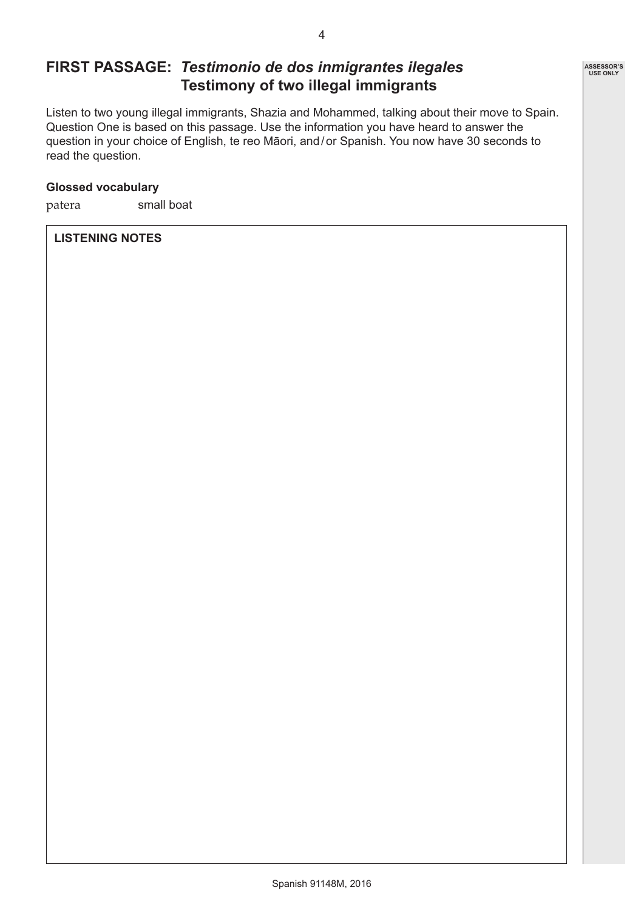### **FIRST PASSAGE:** *Testimonio de dos inmigrantes ilegales* **Testimony of two illegal immigrants**

Listen to two young illegal immigrants, Shazia and Mohammed, talking about their move to Spain. Question One is based on this passage. Use the information you have heard to answer the question in your choice of English, te reo Māori, and/or Spanish. You now have 30 seconds to read the question.

### **Glossed vocabulary**

patera small boat

#### **LISTENING NOTES**

**ASSESSOR'S USE ONLY**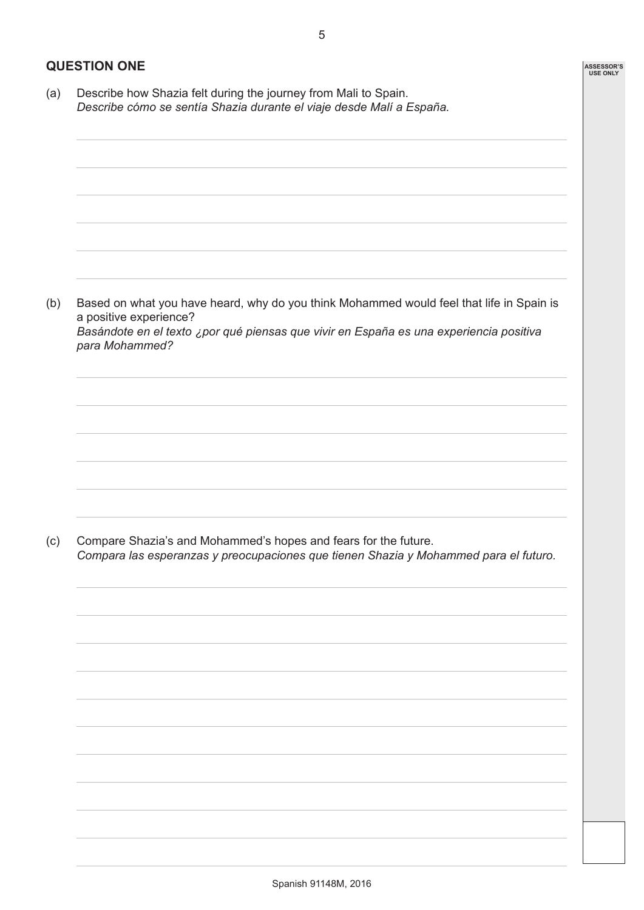**ASSESSOR'S USE ONLY**

### **QUESTION ONE**

(a) Describe how Shazia felt during the journey from Mali to Spain. *Describe cómo se sentía Shazia durante el viaje desde Malí a España.* (b) Based on what you have heard, why do you think Mohammed would feel that life in Spain is a positive experience? *Basándote en el texto ¿por qué piensas que vivir en España es una experiencia positiva para Mohammed?* (c) Compare Shazia's and Mohammed's hopes and fears for the future. *Compara las esperanzas y preocupaciones que tienen Shazia y Mohammed para el futuro.*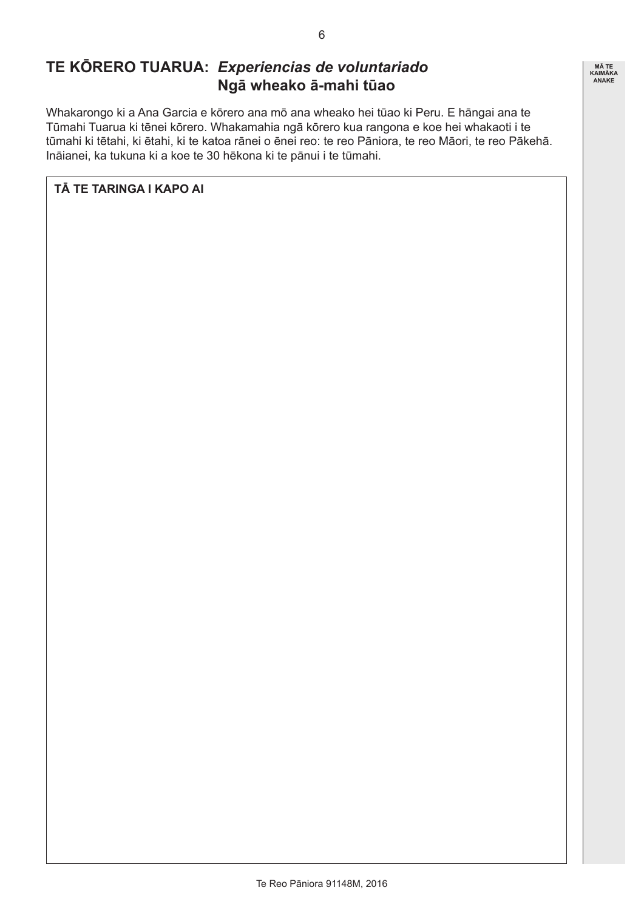### **TE KŌRERO TUARUA:** *Experiencias de voluntariado* **Ngā wheako ā-mahi tūao**

Whakarongo ki a Ana Garcia e kōrero ana mō ana wheako hei tūao ki Peru. E hāngai ana te Tūmahi Tuarua ki tēnei kōrero. Whakamahia ngā kōrero kua rangona e koe hei whakaoti i te tūmahi ki tētahi, ki ētahi, ki te katoa rānei o ēnei reo: te reo Pāniora, te reo Māori, te reo Pākehā. Ināianei, ka tukuna ki a koe te 30 hēkona ki te pānui i te tūmahi.

### **TĀ TE TARINGA I KAPO AI**

6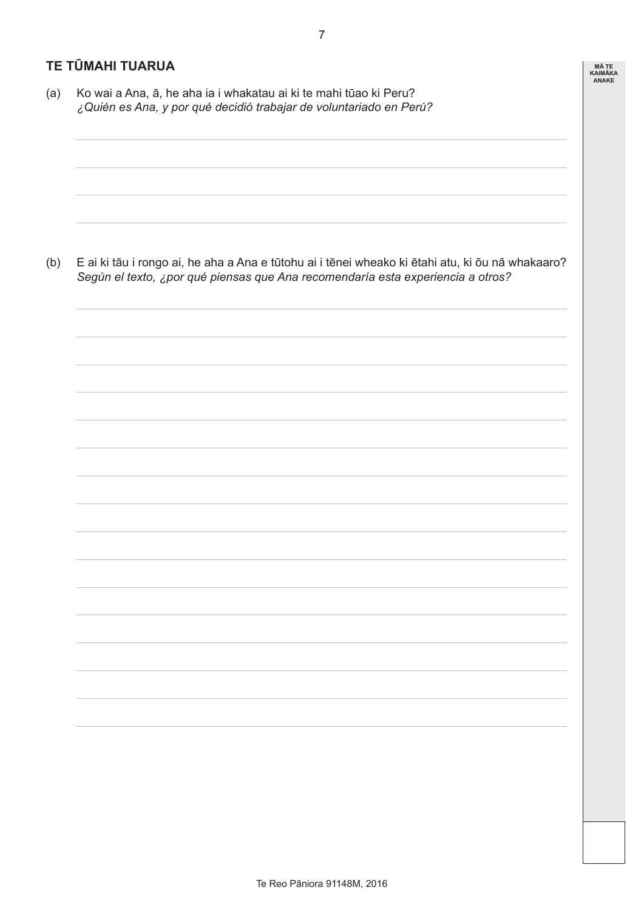### **TE TŪMAHI TUARUA**

(a) Ko wai a Ana, ā, he aha ia i whakatau ai ki te mahi tūao ki Peru? *¿Quién es Ana, y por qué decidió trabajar de voluntariado en Perú?*

(b) E ai ki tāu i rongo ai, he aha a Ana e tūtohu ai i tēnei wheako ki ētahi atu, ki ōu nā whakaaro? *Según el texto, ¿por qué piensas que Ana recomendaría esta experiencia a otros?*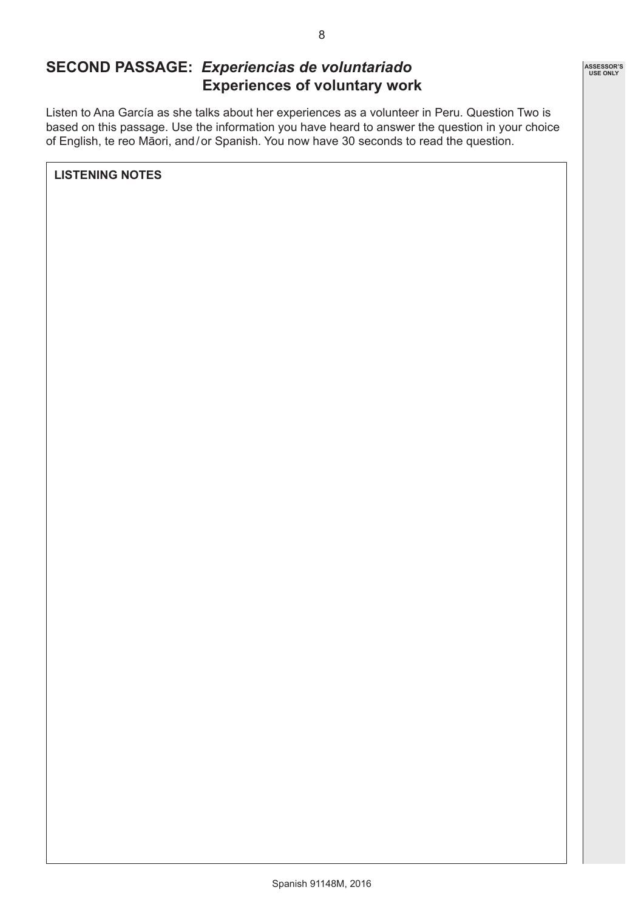### **SECOND PASSAGE:** *Experiencias de voluntariado* **Experiences of voluntary work**

Listen to Ana García as she talks about her experiences as a volunteer in Peru. Question Two is based on this passage. Use the information you have heard to answer the question in your choice of English, te reo Māori, and/or Spanish. You now have 30 seconds to read the question.

**LISTENING NOTES**

**ASSESSOR'S USE ONLY**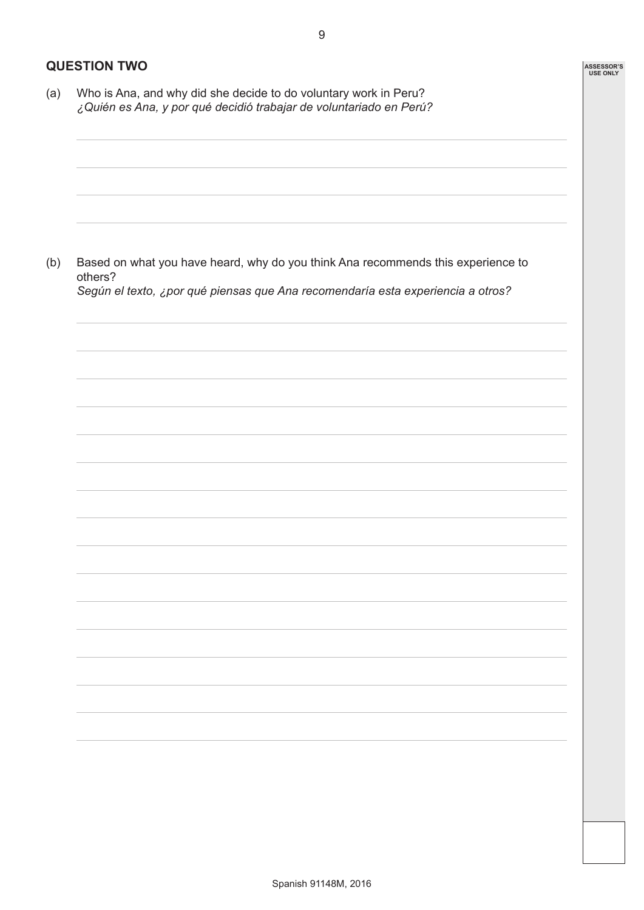**ASSESSOR'S USE ONLY**

9

### **QUESTION TWO**

(a) Who is Ana, and why did she decide to do voluntary work in Peru? *¿Quién es Ana, y por qué decidió trabajar de voluntariado en Perú?*

(b) Based on what you have heard, why do you think Ana recommends this experience to others? *Según el texto, ¿por qué piensas que Ana recomendaría esta experiencia a otros?*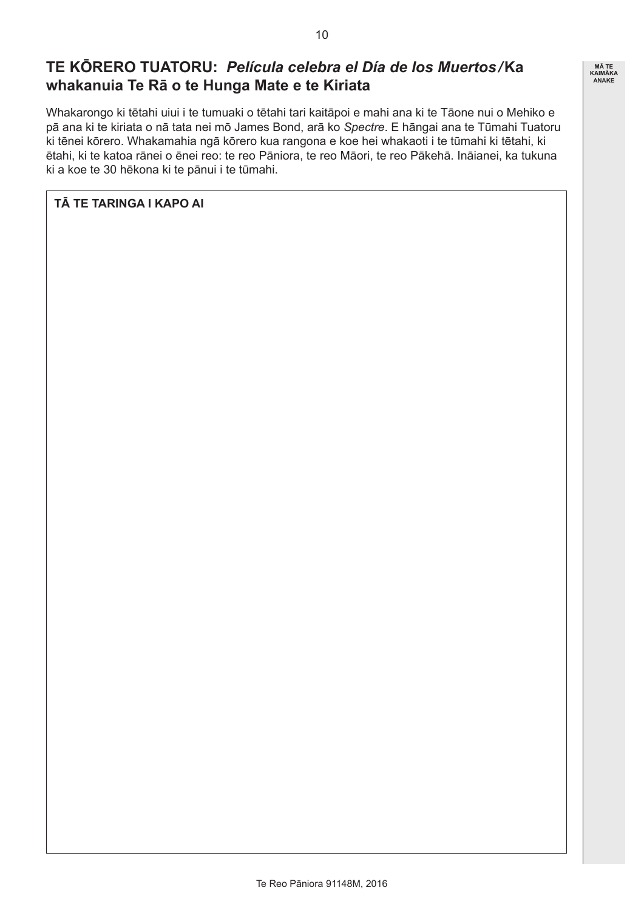### **TE KŌRERO TUATORU:** *Película celebra el Día de los Muertos/***Ka whakanuia Te Rā o te Hunga Mate e te Kiriata**

Whakarongo ki tētahi uiui i te tumuaki o tētahi tari kaitāpoi e mahi ana ki te Tāone nui o Mehiko e pā ana ki te kiriata o nā tata nei mō James Bond, arā ko *Spectre*. E hāngai ana te Tūmahi Tuatoru ki tēnei kōrero. Whakamahia ngā kōrero kua rangona e koe hei whakaoti i te tūmahi ki tētahi, ki ētahi, ki te katoa rānei o ēnei reo: te reo Pāniora, te reo Māori, te reo Pākehā. Ināianei, ka tukuna ki a koe te 30 hēkona ki te pānui i te tūmahi.

### **TĀ TE TARINGA I KAPO AI**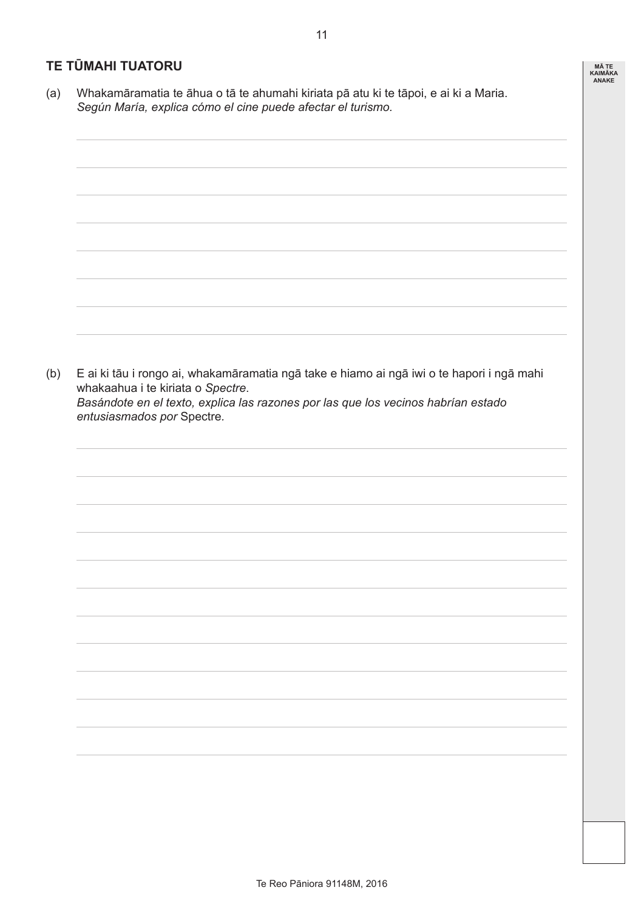### **TE TŪMAHI TUATORU**

(a) Whakamāramatia te āhua o tā te ahumahi kiriata pā atu ki te tāpoi, e ai ki a Maria. *Según María, explica cómo el cine puede afectar el turismo.*

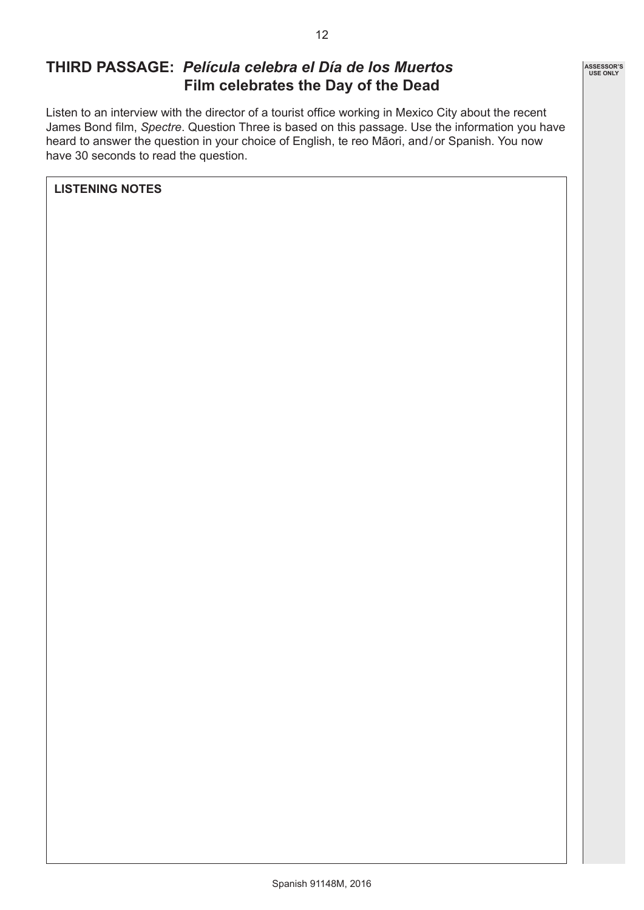### **THIRD PASSAGE:** *Película celebra el Día de los Muertos* **Film celebrates the Day of the Dead**

Listen to an interview with the director of a tourist office working in Mexico City about the recent James Bond film, *Spectre*. Question Three is based on this passage. Use the information you have heard to answer the question in your choice of English, te reo Māori, and/or Spanish. You now have 30 seconds to read the question.

**LISTENING NOTES**

**ASSESSOR'S USE ONLY**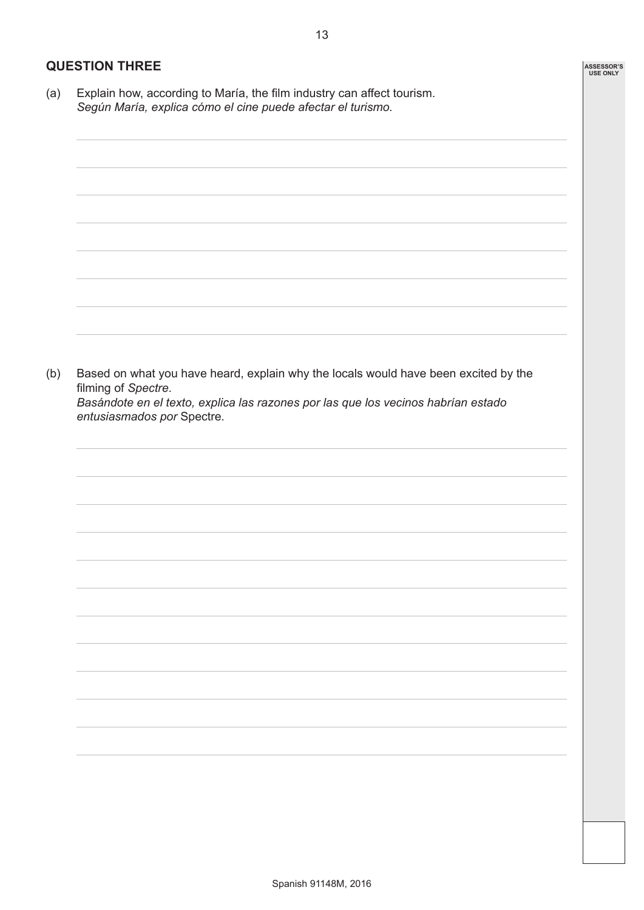**ASSESSOR'S USE ONLY**

### **QUESTION THREE**

(a) Explain how, according to María, the film industry can affect tourism. *Según María, explica cómo el cine puede afectar el turismo.*

(b) Based on what you have heard, explain why the locals would have been excited by the filming of *Spectre*. *Basándote en el texto, explica las razones por las que los vecinos habrían estado entusiasmados por* Spectre*.*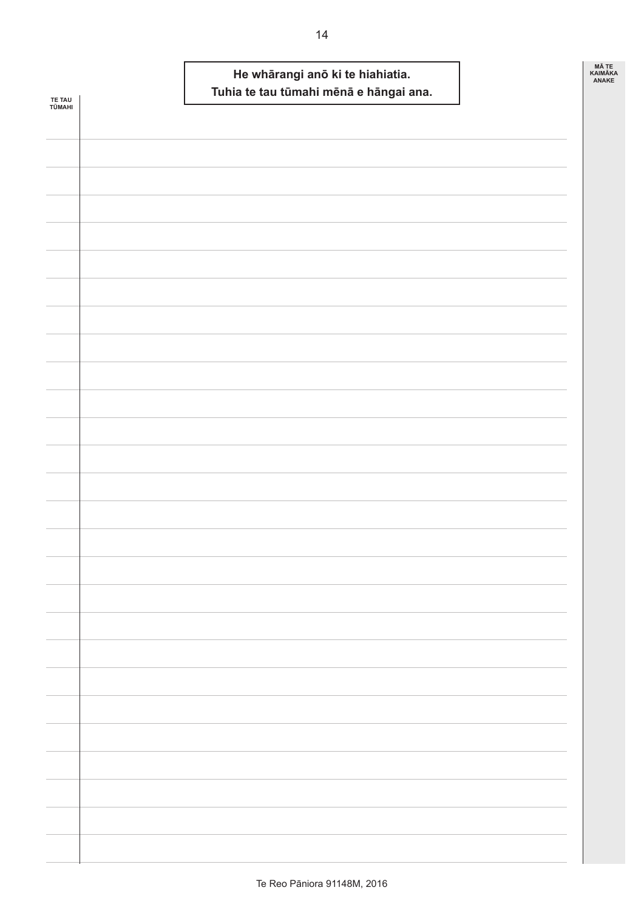| <b>TE TAU</b><br>TŪMAHI | He whārangi anō ki te hiahiatia.<br>Tuhia te tau tūmahi mēnā e hāngai ana. | MÃ TE<br>KAIMĀKA<br><b>ANAKE</b> |
|-------------------------|----------------------------------------------------------------------------|----------------------------------|
|                         |                                                                            |                                  |
|                         |                                                                            |                                  |
|                         |                                                                            |                                  |
|                         |                                                                            |                                  |
|                         |                                                                            |                                  |
|                         |                                                                            |                                  |
|                         |                                                                            |                                  |
|                         |                                                                            |                                  |
|                         |                                                                            |                                  |
|                         |                                                                            |                                  |
|                         |                                                                            |                                  |
|                         |                                                                            |                                  |
|                         |                                                                            |                                  |
|                         |                                                                            |                                  |
|                         |                                                                            |                                  |
|                         |                                                                            |                                  |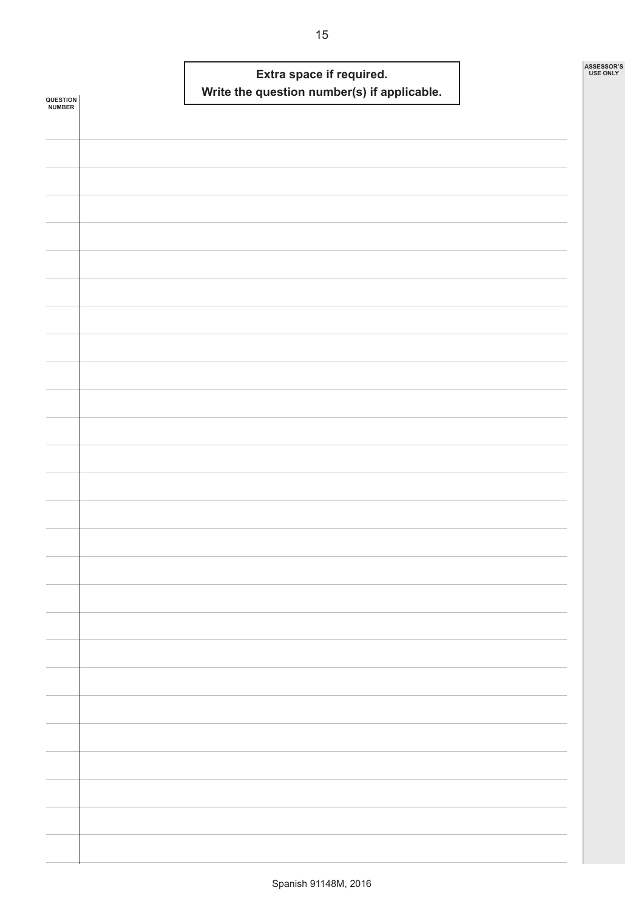|                            |  | Write the question number(s) if applicable. | Extra space if required. |  | ASSESSOR'S<br><b>USE ONLY</b> |
|----------------------------|--|---------------------------------------------|--------------------------|--|-------------------------------|
| <b>QUESTION<br/>NUMBER</b> |  |                                             |                          |  |                               |
|                            |  |                                             |                          |  |                               |
|                            |  |                                             |                          |  |                               |
|                            |  |                                             |                          |  |                               |
|                            |  |                                             |                          |  |                               |
|                            |  |                                             |                          |  |                               |
|                            |  |                                             |                          |  |                               |
|                            |  |                                             |                          |  |                               |
|                            |  |                                             |                          |  |                               |
|                            |  |                                             |                          |  |                               |
|                            |  |                                             |                          |  |                               |
|                            |  |                                             |                          |  |                               |
|                            |  |                                             |                          |  |                               |
|                            |  |                                             |                          |  |                               |
|                            |  |                                             |                          |  |                               |
|                            |  |                                             |                          |  |                               |
|                            |  |                                             |                          |  |                               |
|                            |  |                                             |                          |  |                               |
|                            |  |                                             |                          |  |                               |
|                            |  |                                             |                          |  |                               |
|                            |  |                                             |                          |  |                               |